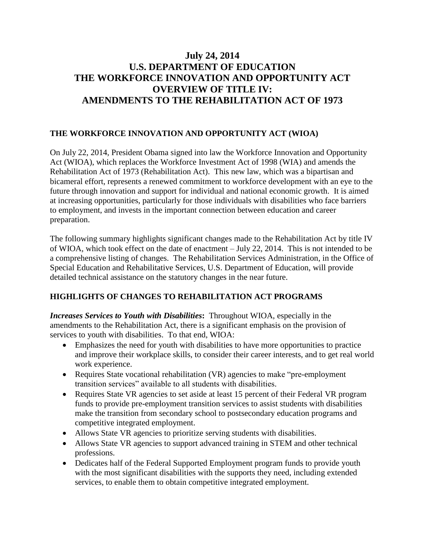## **July 24, 2014 U.S. DEPARTMENT OF EDUCATION THE WORKFORCE INNOVATION AND OPPORTUNITY ACT OVERVIEW OF TITLE IV: AMENDMENTS TO THE REHABILITATION ACT OF 1973**

## **THE WORKFORCE INNOVATION AND OPPORTUNITY ACT (WIOA)**

On July 22, 2014, President Obama signed into law the Workforce Innovation and Opportunity Act (WIOA), which replaces the Workforce Investment Act of 1998 (WIA) and amends the Rehabilitation Act of 1973 (Rehabilitation Act). This new law, which was a bipartisan and bicameral effort, represents a renewed commitment to workforce development with an eye to the future through innovation and support for individual and national economic growth. It is aimed at increasing opportunities, particularly for those individuals with disabilities who face barriers to employment, and invests in the important connection between education and career preparation.

The following summary highlights significant changes made to the Rehabilitation Act by title IV of WIOA, which took effect on the date of enactment – July 22, 2014. This is not intended to be a comprehensive listing of changes. The Rehabilitation Services Administration, in the Office of Special Education and Rehabilitative Services, U.S. Department of Education, will provide detailed technical assistance on the statutory changes in the near future.

## **HIGHLIGHTS OF CHANGES TO REHABILITATION ACT PROGRAMS**

*Increases Services to Youth with Disabilities***:** Throughout WIOA, especially in the amendments to the Rehabilitation Act, there is a significant emphasis on the provision of services to youth with disabilities. To that end, WIOA:

- Emphasizes the need for youth with disabilities to have more opportunities to practice and improve their workplace skills, to consider their career interests, and to get real world work experience.
- Requires State vocational rehabilitation (VR) agencies to make "pre-employment transition services" available to all students with disabilities.
- Requires State VR agencies to set aside at least 15 percent of their Federal VR program funds to provide pre-employment transition services to assist students with disabilities make the transition from secondary school to postsecondary education programs and competitive integrated employment.
- Allows State VR agencies to prioritize serving students with disabilities.
- Allows State VR agencies to support advanced training in STEM and other technical professions.
- Dedicates half of the Federal Supported Employment program funds to provide youth with the most significant disabilities with the supports they need, including extended services, to enable them to obtain competitive integrated employment.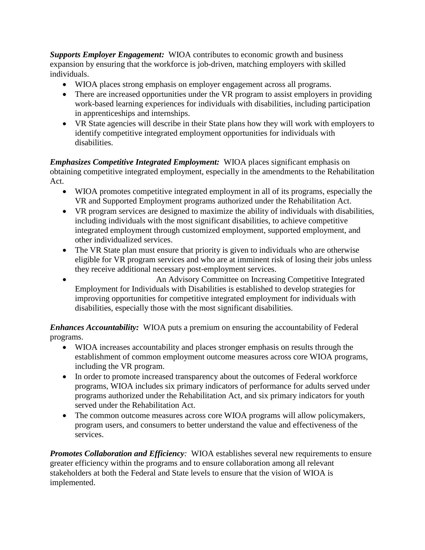*Supports Employer Engagement:* WIOA contributes to economic growth and business expansion by ensuring that the workforce is job-driven, matching employers with skilled individuals.

- WIOA places strong emphasis on employer engagement across all programs.
- There are increased opportunities under the VR program to assist employers in providing work-based learning experiences for individuals with disabilities, including participation in apprenticeships and internships.
- VR State agencies will describe in their State plans how they will work with employers to identify competitive integrated employment opportunities for individuals with disabilities.

*Emphasizes Competitive Integrated Employment:* WIOA places significant emphasis on obtaining competitive integrated employment, especially in the amendments to the Rehabilitation Act.

- WIOA promotes competitive integrated employment in all of its programs, especially the VR and Supported Employment programs authorized under the Rehabilitation Act.
- VR program services are designed to maximize the ability of individuals with disabilities, including individuals with the most significant disabilities, to achieve competitive integrated employment through customized employment, supported employment, and other individualized services.
- The VR State plan must ensure that priority is given to individuals who are otherwise eligible for VR program services and who are at imminent risk of losing their jobs unless they receive additional necessary post-employment services.
- An Advisory Committee on Increasing Competitive Integrated Employment for Individuals with Disabilities is established to develop strategies for improving opportunities for competitive integrated employment for individuals with disabilities, especially those with the most significant disabilities.

*Enhances Accountability:* WIOA puts a premium on ensuring the accountability of Federal programs.

- WIOA increases accountability and places stronger emphasis on results through the establishment of common employment outcome measures across core WIOA programs, including the VR program.
- In order to promote increased transparency about the outcomes of Federal workforce programs, WIOA includes six primary indicators of performance for adults served under programs authorized under the Rehabilitation Act, and six primary indicators for youth served under the Rehabilitation Act.
- The common outcome measures across core WIOA programs will allow policymakers, program users, and consumers to better understand the value and effectiveness of the services.

*Promotes Collaboration and Efficiency:* WIOA establishes several new requirements to ensure greater efficiency within the programs and to ensure collaboration among all relevant stakeholders at both the Federal and State levels to ensure that the vision of WIOA is implemented.